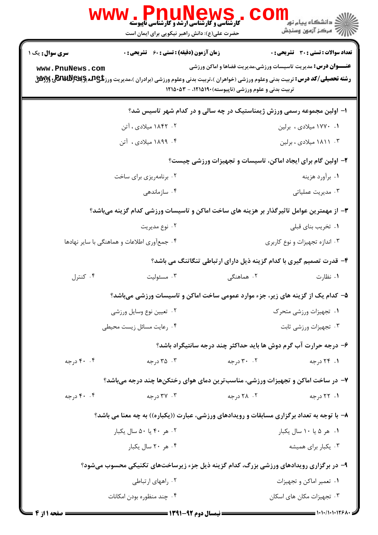|                                                                                       | ، Pnumere Hows .<br>کارشناسی و کارشناسی ارشد و کارشناسی ناپیوسته<br>حضرت علی(ع): دانش راهبر نیکویی برای ایمان است                                |                                                                  | <mark>د</mark> دانشگاه پيام نو <mark>ر</mark><br>رِ آھرڪز آزمون وسنڊش |  |  |
|---------------------------------------------------------------------------------------|--------------------------------------------------------------------------------------------------------------------------------------------------|------------------------------------------------------------------|-----------------------------------------------------------------------|--|--|
| سری سوال: یک ۱                                                                        | <b>زمان آزمون (دقیقه) : تستی : 60 ٪ تشریحی : 0</b>                                                                                               |                                                                  | <b>تعداد سوالات : تستی : 30 ٪ تشریحی : 0</b>                          |  |  |
| www.PnuNews.com                                                                       | <b>رشته تحصیلی/کد درس:</b> تربیت بدنی وعلوم ورزشی (خواهران )،تربیت بدنی وعلوم ورزشی (برادران )،مدیریت ورز <b>شیCARUN وگیلاتاتهای وگلیلی</b><br>م | تربیت بدنی و علوم ورزشی (ناپیوسته) ۱۲۱۵۱۹۰ - ۱۲۱۵۰۵۳             | <b>عنـــوان درس:</b> مدیریت تاسیسات ورزشی،مدیریت فضاها و اماکن ورزشی  |  |  |
| ۱– اولین مجموعه رسمی ورزش ژیمناستیک در چه سالی و در کدام شهر تاسیس شد؟                |                                                                                                                                                  |                                                                  |                                                                       |  |  |
|                                                                                       | ۰۲ ۱۸۴۲ میلادی ، آتن                                                                                                                             |                                                                  | ۰۱ ۱۷۷۰ میلادی ، برلین                                                |  |  |
|                                                                                       | ۰۴ ۱۸۹۹ میلادی ، آتن                                                                                                                             |                                                                  | ۰۳ ۱۸۱۱ میلادی ، برلین                                                |  |  |
| ۲- اولین گام برای ایجاد اماکن، تاسیسات و تجهیزات ورزشی چیست؟                          |                                                                                                                                                  |                                                                  |                                                                       |  |  |
|                                                                                       | ۰۲ برنامهریزی برای ساخت                                                                                                                          |                                                                  | ۰۱ برآورد هزينه                                                       |  |  |
|                                                                                       | ۰۴ سازماندهی                                                                                                                                     |                                                                  | ۰۳ مدیریت عملیاتی                                                     |  |  |
|                                                                                       | ۳- از مهمترین عوامل تاثیرگذار بر هزینه های ساخت اماکن و تاسیسات ورزشی کدام گزینه میباشد؟                                                         |                                                                  |                                                                       |  |  |
|                                                                                       | ۰۲ نوع مديريت                                                                                                                                    |                                                                  | ۰۱ تخریب بنای قبلی                                                    |  |  |
| ۰۴ جمعآوری اطلاعات و هماهنگی با سایر نهادها                                           |                                                                                                                                                  | ۰۳ اندازه تجهیزات و نوع کاربری                                   |                                                                       |  |  |
| ۴- قدرت تصمیم گیری با کدام گزینه ذیل دارای ارتباطی تنگاتنگ می باشد؟                   |                                                                                                                                                  |                                                                  |                                                                       |  |  |
| ۰۴ کنترل                                                                              | ۰۳ مسئوليت                                                                                                                                       | ۰۲ هماهنگی                                                       | ۰۱ نظارت                                                              |  |  |
|                                                                                       | ۵– کدام یک از گزینه های زیر، جزء موارد عمومی ساخت اماکن و تاسیسات ورزشی میباشد؟                                                                  |                                                                  |                                                                       |  |  |
|                                                                                       | ۰۲ تعيين نوع وسايل ورزشي                                                                                                                         |                                                                  | ۰۱ تجهیزات ورزشی متحرک                                                |  |  |
|                                                                                       | ۰۴ رعایت مسائل زیست محیطی                                                                                                                        | ۰۳ تجهیزات ورزشی ثابت                                            |                                                                       |  |  |
|                                                                                       |                                                                                                                                                  | ۶- درجه حرارت آب گرم دوش ها باید حداکثر چند درجه سانتیگراد باشد؟ |                                                                       |  |  |
| ۴۰ . ۴۰ درجه                                                                          | ۰۳ درجه                                                                                                                                          | ۰۲ درجه                                                          | ۰۱ ۲۴ درجه                                                            |  |  |
|                                                                                       | ۷- در ساخت اماکن و تجهیزات ورزشی، مناسبترین دمای هوای رختکنها چند درجه میباشد؟                                                                   |                                                                  |                                                                       |  |  |
| ۴۰ . ۴۰ درجه                                                                          | ۰۳ درجه                                                                                                                                          | ۰۲ درجه                                                          | ۰۱ ۲۲ درجه                                                            |  |  |
|                                                                                       | ۸- با توجه به تعداد برگزاری مسابقات و رویدادهای ورزشی، عبارت ((یکباره)) به چه معنا می باشد؟                                                      |                                                                  |                                                                       |  |  |
|                                                                                       | ۰۲ هر ۴۰ یا ۵۰ سال یکبار                                                                                                                         |                                                                  | ۰۱ هر ۵ یا ۱۰ سال یکبار                                               |  |  |
|                                                                                       | ۰۴ هر ۲۰ سال یکبار                                                                                                                               |                                                                  | ۰۳ يکبار براي هميشه                                                   |  |  |
| ۹- در برگزاری رویدادهای ورزشی بزرگ، کدام گزینه ذیل جزء زیرساختهای تکنیکی محسوب میشود؟ |                                                                                                                                                  |                                                                  |                                                                       |  |  |
|                                                                                       | ۰۲ راههای ارتباطی                                                                                                                                |                                                                  | ۰۱ تعمیر اماکن و تجهیزات                                              |  |  |
|                                                                                       | ۰۴ چند منظوره بودن امکانات                                                                                                                       |                                                                  | ۰۳ تجهیزات مکان های اسکان                                             |  |  |

 $= 1.1 - 11.1179$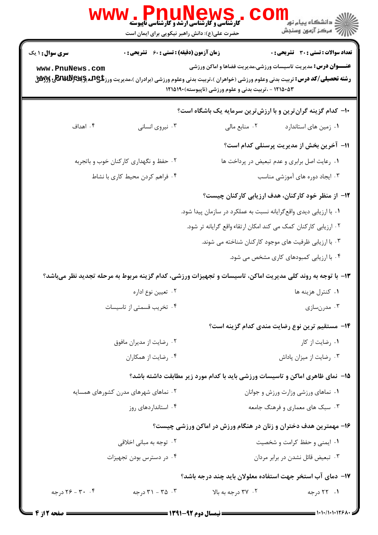| ، WWW . المسلم السابق السابق باليوسته<br>کارشناسی و کارشناسی ارشد و کارشناسی ناپیوسته | د دانشڪاه پيام نور<br>7- مرڪز آزمون وسنڊش<br>حضرت علی(ع): دانش راهبر نیکویی برای ایمان است                                                                                                                                                                                                                                                                                    |  |  |  |
|---------------------------------------------------------------------------------------|-------------------------------------------------------------------------------------------------------------------------------------------------------------------------------------------------------------------------------------------------------------------------------------------------------------------------------------------------------------------------------|--|--|--|
| <b>سری سوال : ۱ یک</b><br>www.PnuNews.com                                             | <b>زمان آزمون (دقیقه) : تستی : 60 ٪ تشریحی : 0</b><br>تعداد سوالات : تستي : 30 ٪ تشريحي : 0<br><b>عنـــوان درس:</b> مدیریت تاسیسات ورزشی،مدیریت فضاها و اماکن ورزشی<br><b>رشته تحصیلی/کد درس:</b> تربیت بدنی وعلوم ورزشی (خواهران )،تربیت بدنی وعلوم ورزشی (برادران )،مدیریت ورز <b>شی ARAJUNEW <u>S</u> و RA</b> VUN<br>۱۲۱۵۰۵۳ - ،تربیت بدنی و علوم ورزشی (ناپیوسته)۱۲۱۵۱۹۰ |  |  |  |
| ۰۴ اهداف<br>۰۳ نیروی انسانی                                                           | <b>۰۱</b> - کدام گزینه گرانترین و با ارزشترین سرمایه یک باشگاه است؟<br>٠١. زمين هاى استاندارد<br>۰۲ منابع مالی<br>11- آخرین بخش از مدیریت پرسنلی کدام است؟                                                                                                                                                                                                                    |  |  |  |
| ۰۲ حفظ و نگهداری کارکنان خوب و باتجربه<br>۰۴ فراهم كردن محيط كاري با نشاط             | ٠١ رعايت اصل برابري و عدم تبعيض در پرداخت ها<br>۰۳ ایجاد دوره های آموزشی مناسب                                                                                                                                                                                                                                                                                                |  |  |  |
|                                                                                       | ۱۲– از منظر خود کارکنان، هدف ارزیابی کارکنان چیست؟<br>۰۱ با ارزیابی دیدی واقع گرایانه نسبت به عملکرد در سازمان پیدا شود.<br>۰۲ ارزیابی کارکنان کمک می کند امکان ارتقاء واقع گرایانه تر شود.<br>۰۳ با ارزیابی ظرفیت های موجود کارکنان شناخته می شوند.<br>۰۴ با ارزیابی کمبودهای کاری مشخص می شود.                                                                              |  |  |  |
| ۰۲ تعیین نوع اداره<br>۰۴ تخریب قسمتی از تاسیسات                                       | ۱۳- با توجه به روند کلی مدیریت اماکن، تاسیسات و تجهیزات ورزشی، کدام گزینه مربوط به مرحله تجدید نظر میباشد؟<br>۰۱ کنترل هزینه ها<br>۰۳ مدرنسازی                                                                                                                                                                                                                                |  |  |  |
| ۰۲ رضایت از مدیران مافوق<br>۰۴ رضایت از همکاران                                       | <b>۱۴</b> – مستقیم ترین نوع رضایت مندی کدام گزینه است؟<br>۰۱ رضایت از کار<br>۰۳ رضایت از میزان پاداش                                                                                                                                                                                                                                                                          |  |  |  |
| ۰۲ نماهای شهرهای مدرن کشورهای همسایه<br>۰۴ استانداردهای روز                           | ۱۵– نمای ظاهری اماکن و تاسیسات ورزشی باید با کدام مورد زیر مطابقت داشته باشد؟<br>٠١ نماهاى ورزشى وزارت ورزش و جوانان<br>۰۳ سبک های معماری و فرهنگ جامعه                                                                                                                                                                                                                       |  |  |  |
| ۰۲ توجه به مبانی اخلاقی<br>۰۴ در دسترس بودن تجهیزات                                   | ۱۶- مهمترین هدف دختران و زنان در هنگام ورزش در اماکن ورزشی چیست؟<br>٠١ ايمنى وحفظ كرامت و شخصيت<br>۰۳ تبعیض قائل نشدن در برابر مردان                                                                                                                                                                                                                                          |  |  |  |
| ۰۴ - ۲۶ درجه<br>۰۳ - ۳۱ - ۳۱ درجه                                                     | ۱۷– دمای آب استخر جهت استفاده معلولان باید چند درجه باشد؟<br>۰۲ درجه به بالا<br>۰۱ ۲۲ درجه                                                                                                                                                                                                                                                                                    |  |  |  |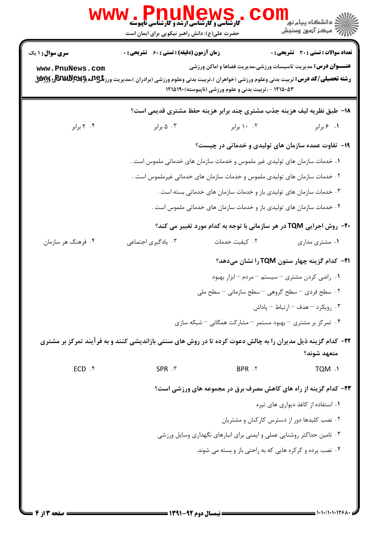| <b>سری سوال : ۱ یک</b> | <b>زمان آزمون (دقیقه) : تستی : 60 ٪ تشریحی : 0</b>                                                                                                |                                                                            | <b>تعداد سوالات : تستي : 30 ٪ تشريحي : 0</b>        |  |
|------------------------|---------------------------------------------------------------------------------------------------------------------------------------------------|----------------------------------------------------------------------------|-----------------------------------------------------|--|
| www.PnuNews.com        |                                                                                                                                                   | <b>عنـــوان درس:</b> مدیریت تاسیسات ورزشی،مدیریت فضاها و اماکن ورزشی       |                                                     |  |
|                        | <b>رشته تحصیلی/کد درس:</b> تربیت بدنی وعلوم ورزشی (خواهران )،تربیت بدنی وعلوم ورزشی (برادران )،مدیریت ورز <b>شی ARAJUNEW Sگ</b> ی و <b>RAJ</b> UN | ۱۲۱۵۰۵۳ - ،تربیت بدنی و علوم ورزشی (ناپیوسته)۱۲۱۵۱۹۰                       |                                                     |  |
|                        |                                                                                                                                                   | 18- طبق نظریه لیف هزینه جذب مشتری چند برابر هزینه حفظ مشتری قدیمی است؟     |                                                     |  |
| ۰۴ برابر               | ۰۳ ۵ برابر                                                                                                                                        | ۰۰ ۱۰ برابر                                                                | ٠١. ۶ برابر                                         |  |
|                        | ۱۹- تفاوت عمده سازمان های تولیدی و خدماتی در چیست؟                                                                                                |                                                                            |                                                     |  |
|                        | ۰۱ خدمات سازمان های تولیدی غیر ملموس و خدمات سازمان های خدماتی ملموس است .                                                                        |                                                                            |                                                     |  |
|                        | ۰۲ خدمات سازمان های تولیدی ملموس و خدمات سازمان های خدماتی غیرملموس است .                                                                         |                                                                            |                                                     |  |
|                        | ۰۳ خدمات سازمان های تولیدی باز و خدمات سازمان های خدماتی بسته است .                                                                               |                                                                            |                                                     |  |
|                        | ۰۴ خدمات سازمان های تولیدی باز و خدمات سازمان های خدماتی ملموس است .                                                                              |                                                                            |                                                     |  |
|                        |                                                                                                                                                   | <b>۲۰-</b> روش اجرایی TQM در هر سازمانی با توجه به کدام مورد تغییر می کند؟ |                                                     |  |
| ۰۴ فرهنگ هر سازمان     | ۰۳ یادگیری اجتماعی                                                                                                                                | ٠٢ كيفيت خدمات                                                             | ۰۱ مشتری مداری                                      |  |
|                        |                                                                                                                                                   |                                                                            | <b>۲۱</b> - کدام گزینه چهار ستون TQM را نشان میدهد؟ |  |
|                        |                                                                                                                                                   | ۰۱ راضی کردن مشتری – سیستم – مردم – ابزار بهبود                            |                                                     |  |
|                        |                                                                                                                                                   | ٢. سطح فردي – سطح گروهي – سطح سازماني – سطح ملي                            |                                                     |  |
|                        |                                                                                                                                                   |                                                                            | ۰۳ رویکرد – هدف – ارتباط – یاداش                    |  |
|                        |                                                                                                                                                   | ۰۴ تمرکز بر مشتری – بهبود مستمر – مشارکت همگانی – شبکه سازی                |                                                     |  |
|                        | ۲۲- کدام گزینه ذیل مدیران را به چالش دعوت کرده تا در روش های سنتی بازاندیشی کنند و به فرآیند تمرکز بر مشتری                                       |                                                                            |                                                     |  |
|                        |                                                                                                                                                   |                                                                            | متعهد شوند؟                                         |  |
| ECD .f                 | SPR . ٣                                                                                                                                           | BPR . ٢                                                                    | TQM .1                                              |  |
|                        |                                                                                                                                                   | ۲۳- کدام گزینه از راه های کاهش مصرف برق در مجموعه های ورزشی است؟           |                                                     |  |
|                        | ۰۱ استفاده از کاغذ دیواری های تیره                                                                                                                |                                                                            |                                                     |  |
|                        | ۰۲ نصب کلیدها دور از دسترس کارکنان و مشتریان                                                                                                      |                                                                            |                                                     |  |
|                        |                                                                                                                                                   | ۰۳ تامین حداکثر روشنایی عملی و ایمنی برای انبارهای نگهداری وسایل ورزشی     |                                                     |  |
|                        |                                                                                                                                                   | ۰۴ نصب پرده و کرکره هایی که به راحتی باز و بسته می شوند.                   |                                                     |  |
|                        |                                                                                                                                                   |                                                                            |                                                     |  |